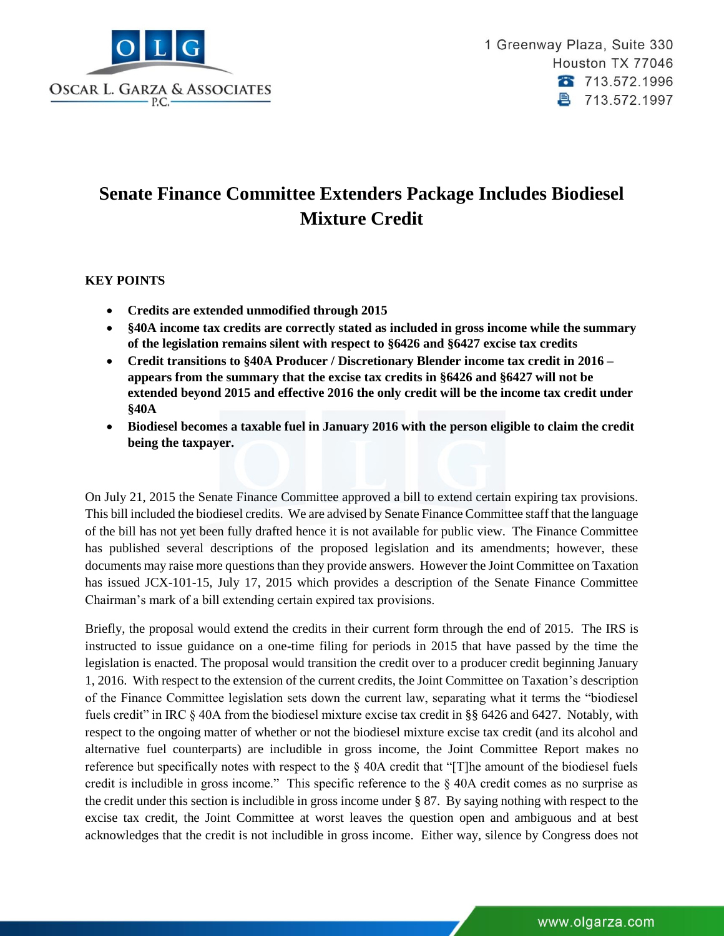

## **Senate Finance Committee Extenders Package Includes Biodiesel Mixture Credit**

## **KEY POINTS**

- **Credits are extended unmodified through 2015**
- **§40A income tax credits are correctly stated as included in gross income while the summary of the legislation remains silent with respect to §6426 and §6427 excise tax credits**
- **Credit transitions to §40A Producer / Discretionary Blender income tax credit in 2016 – appears from the summary that the excise tax credits in §6426 and §6427 will not be extended beyond 2015 and effective 2016 the only credit will be the income tax credit under §40A**
- **Biodiesel becomes a taxable fuel in January 2016 with the person eligible to claim the credit being the taxpayer.**

On July 21, 2015 the Senate Finance Committee approved a bill to extend certain expiring tax provisions. This bill included the biodiesel credits. We are advised by Senate Finance Committee staff that the language of the bill has not yet been fully drafted hence it is not available for public view. The Finance Committee has published several descriptions of the proposed legislation and its amendments; however, these documents may raise more questions than they provide answers. However the Joint Committee on Taxation has issued JCX-101-15, July 17, 2015 which provides a description of the Senate Finance Committee Chairman's mark of a bill extending certain expired tax provisions.

Briefly, the proposal would extend the credits in their current form through the end of 2015. The IRS is instructed to issue guidance on a one-time filing for periods in 2015 that have passed by the time the legislation is enacted. The proposal would transition the credit over to a producer credit beginning January 1, 2016. With respect to the extension of the current credits, the Joint Committee on Taxation's description of the Finance Committee legislation sets down the current law, separating what it terms the "biodiesel fuels credit" in IRC § 40A from the biodiesel mixture excise tax credit in §§ 6426 and 6427. Notably, with respect to the ongoing matter of whether or not the biodiesel mixture excise tax credit (and its alcohol and alternative fuel counterparts) are includible in gross income, the Joint Committee Report makes no reference but specifically notes with respect to the § 40A credit that "[T]he amount of the biodiesel fuels credit is includible in gross income." This specific reference to the § 40A credit comes as no surprise as the credit under this section is includible in gross income under § 87. By saying nothing with respect to the excise tax credit, the Joint Committee at worst leaves the question open and ambiguous and at best acknowledges that the credit is not includible in gross income. Either way, silence by Congress does not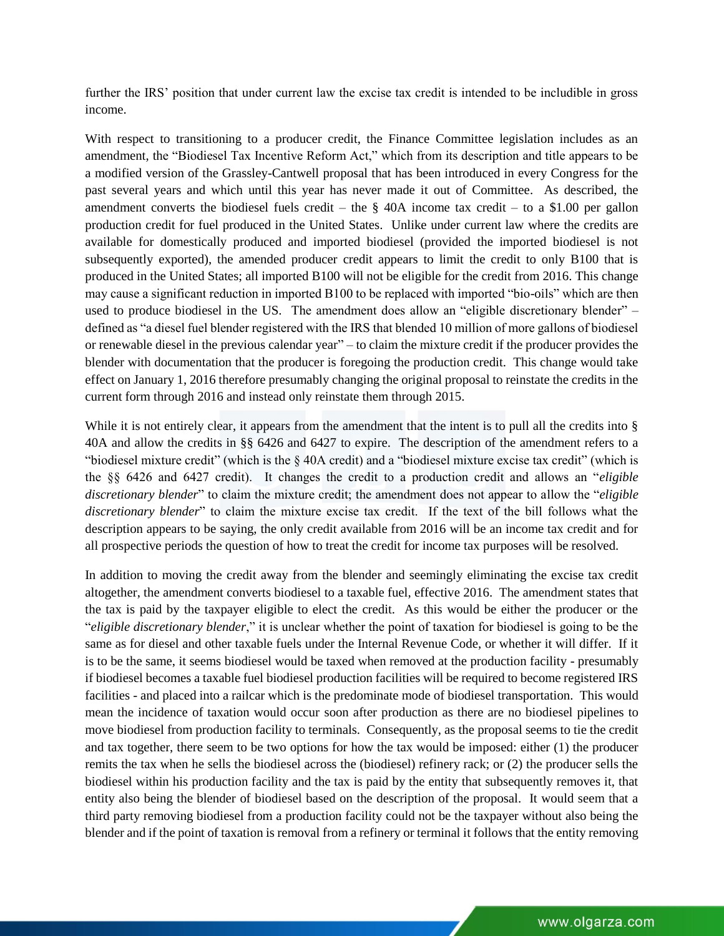further the IRS' position that under current law the excise tax credit is intended to be includible in gross income.

With respect to transitioning to a producer credit, the Finance Committee legislation includes as an amendment, the "Biodiesel Tax Incentive Reform Act," which from its description and title appears to be a modified version of the Grassley-Cantwell proposal that has been introduced in every Congress for the past several years and which until this year has never made it out of Committee. As described, the amendment converts the biodiesel fuels credit – the  $\S$  40A income tax credit – to a \$1.00 per gallon production credit for fuel produced in the United States. Unlike under current law where the credits are available for domestically produced and imported biodiesel (provided the imported biodiesel is not subsequently exported), the amended producer credit appears to limit the credit to only B100 that is produced in the United States; all imported B100 will not be eligible for the credit from 2016. This change may cause a significant reduction in imported B100 to be replaced with imported "bio-oils" which are then used to produce biodiesel in the US. The amendment does allow an "eligible discretionary blender" – defined as "a diesel fuel blender registered with the IRS that blended 10 million of more gallons of biodiesel or renewable diesel in the previous calendar year" – to claim the mixture credit if the producer provides the blender with documentation that the producer is foregoing the production credit. This change would take effect on January 1, 2016 therefore presumably changing the original proposal to reinstate the credits in the current form through 2016 and instead only reinstate them through 2015.

While it is not entirely clear, it appears from the amendment that the intent is to pull all the credits into § 40A and allow the credits in §§ 6426 and 6427 to expire. The description of the amendment refers to a "biodiesel mixture credit" (which is the § 40A credit) and a "biodiesel mixture excise tax credit" (which is the §§ 6426 and 6427 credit). It changes the credit to a production credit and allows an "*eligible discretionary blender*" to claim the mixture credit; the amendment does not appear to allow the "*eligible discretionary blender*" to claim the mixture excise tax credit. If the text of the bill follows what the description appears to be saying, the only credit available from 2016 will be an income tax credit and for all prospective periods the question of how to treat the credit for income tax purposes will be resolved.

In addition to moving the credit away from the blender and seemingly eliminating the excise tax credit altogether, the amendment converts biodiesel to a taxable fuel, effective 2016. The amendment states that the tax is paid by the taxpayer eligible to elect the credit. As this would be either the producer or the "*eligible discretionary blender*," it is unclear whether the point of taxation for biodiesel is going to be the same as for diesel and other taxable fuels under the Internal Revenue Code, or whether it will differ. If it is to be the same, it seems biodiesel would be taxed when removed at the production facility - presumably if biodiesel becomes a taxable fuel biodiesel production facilities will be required to become registered IRS facilities - and placed into a railcar which is the predominate mode of biodiesel transportation. This would mean the incidence of taxation would occur soon after production as there are no biodiesel pipelines to move biodiesel from production facility to terminals. Consequently, as the proposal seems to tie the credit and tax together, there seem to be two options for how the tax would be imposed: either (1) the producer remits the tax when he sells the biodiesel across the (biodiesel) refinery rack; or (2) the producer sells the biodiesel within his production facility and the tax is paid by the entity that subsequently removes it, that entity also being the blender of biodiesel based on the description of the proposal. It would seem that a third party removing biodiesel from a production facility could not be the taxpayer without also being the blender and if the point of taxation is removal from a refinery or terminal it follows that the entity removing